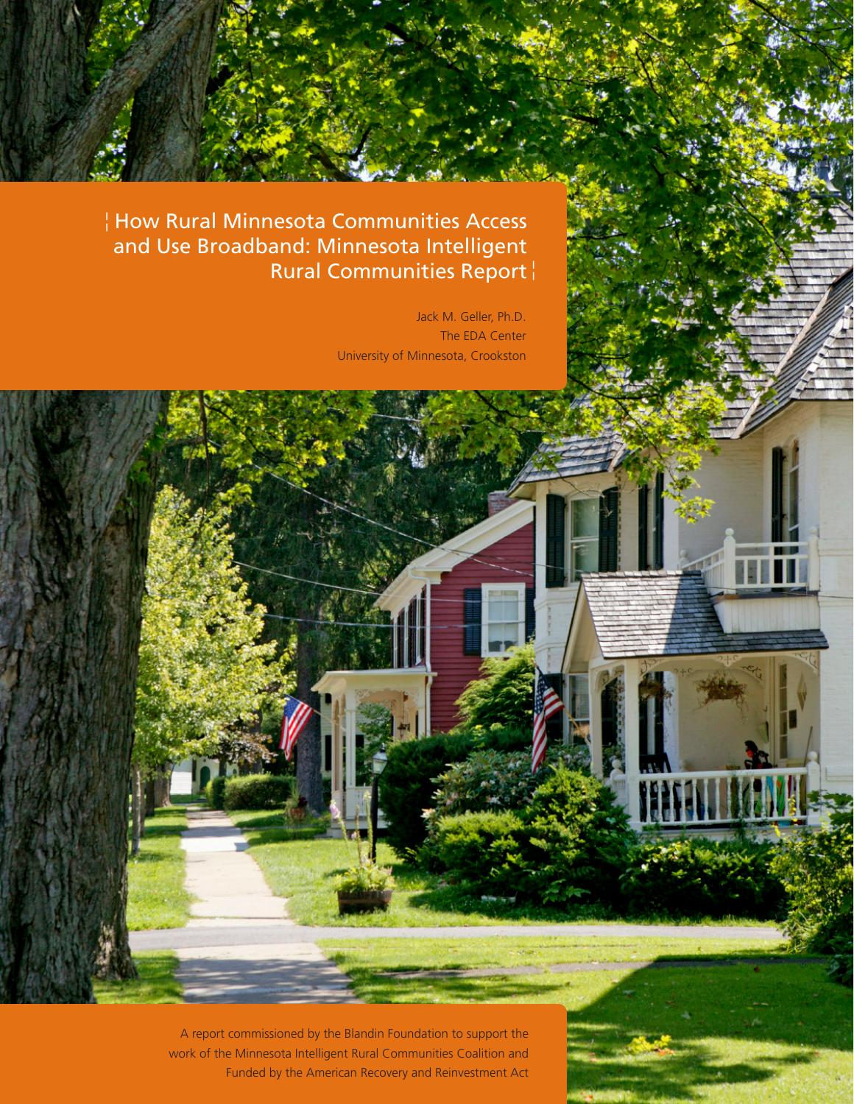# How Rural Minnesota Communities Access ¦ and Use Broadband: Minnesota Intelligent Rural Communities Report ¦

Jack M. Geller, Ph.D. The EDA Center University of Minnesota, Crookston

A report commissioned by the Blandin Foundation to support the work of the Minnesota Intelligent Rural Communities Coalition and Funded by the American Recovery and Reinvestment Act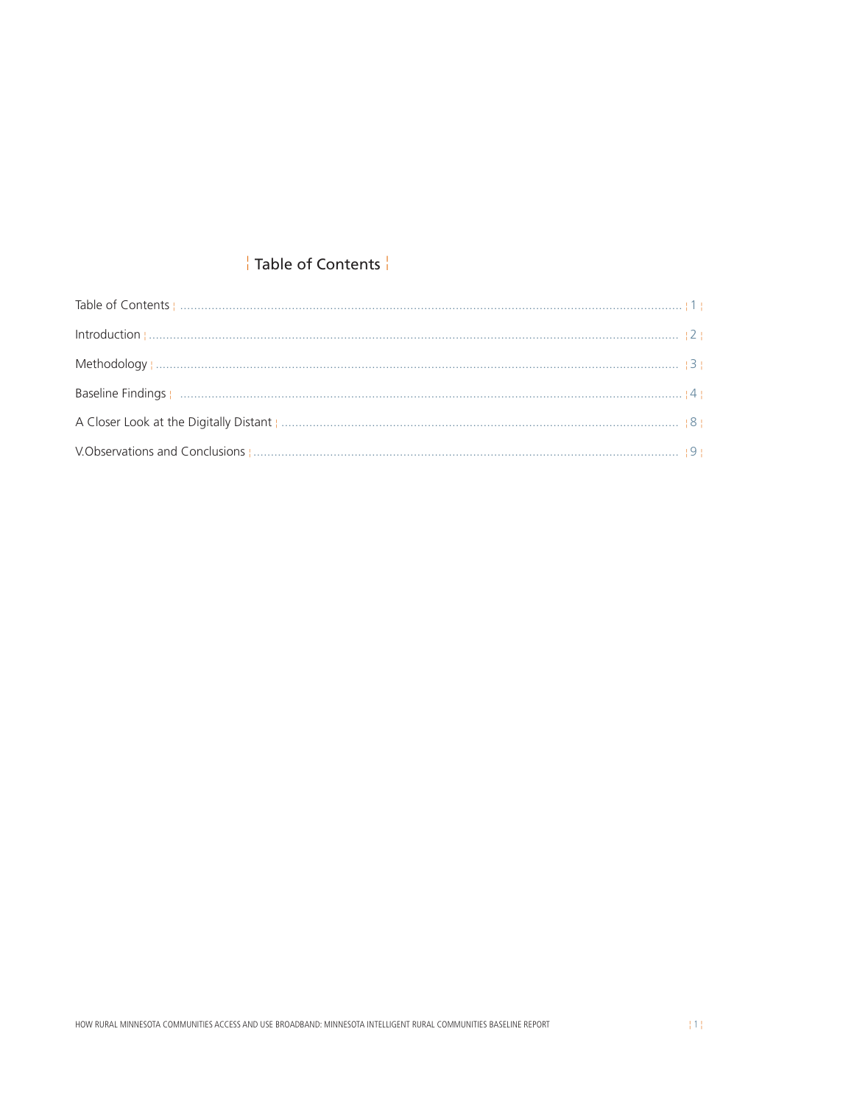# Table of Contents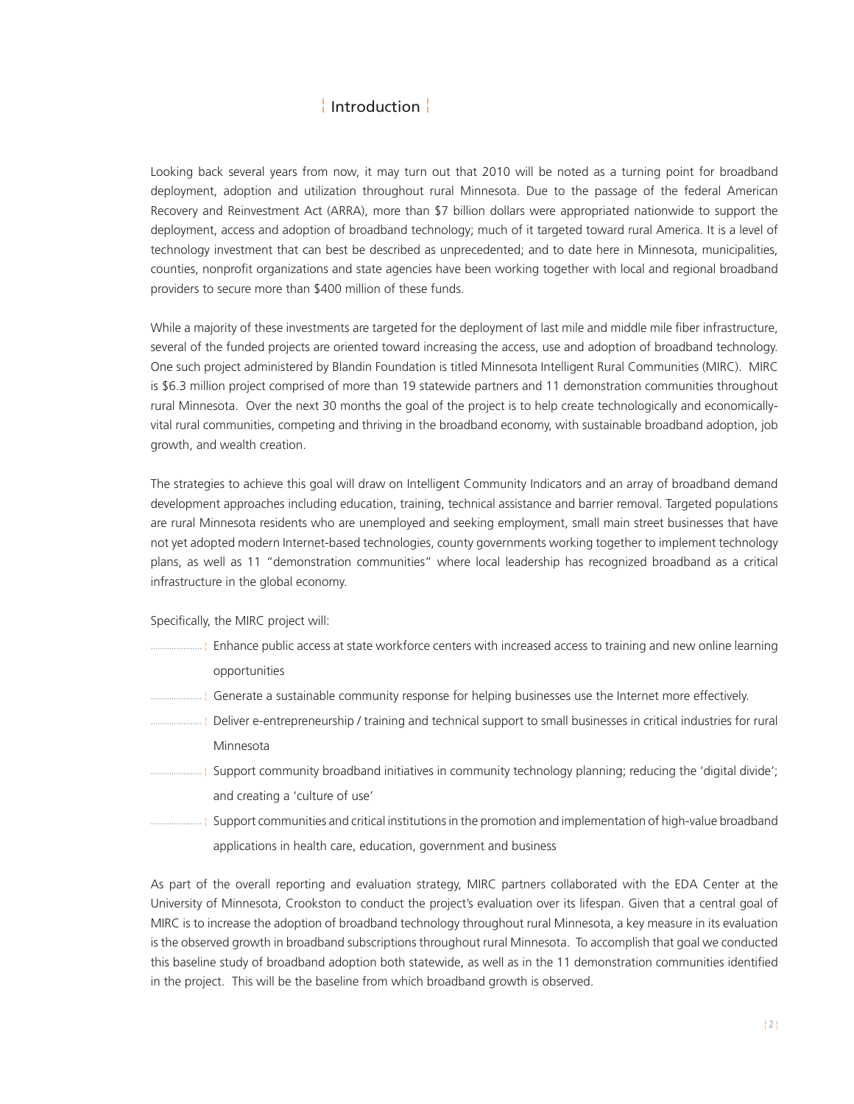# <mark>↓ Introduction ↓</mark>

<span id="page-2-0"></span>Looking back several years from now, it may turn out that 2010 will be noted as a turning point for broadband deployment, adoption and utilization throughout rural Minnesota. Due to the passage of the federal American Recovery and Reinvestment Act (ARRA), more than \$7 billion dollars were appropriated nationwide to support the deployment, access and adoption of broadband technology; much of it targeted toward rural America. It is a level of technology investment that can best be described as unprecedented; and to date here in Minnesota, municipalities, counties, nonprofit organizations and state agencies have been working together with local and regional broadband providers to secure more than \$400 million of these funds.

While a majority of these investments are targeted for the deployment of last mile and middle mile fiber infrastructure, several of the funded projects are oriented toward increasing the access, use and adoption of broadband technology. One such project administered by Blandin Foundation is titled Minnesota Intelligent Rural Communities (MIRC). MIRC is \$6.3 million project comprised of more than 19 statewide partners and 11 demonstration communities throughout rural Minnesota. Over the next 30 months the goal of the project is to help create technologically and economicallyvital rural communities, competing and thriving in the broadband economy, with sustainable broadband adoption, job growth, and wealth creation.

The strategies to achieve this goal will draw on Intelligent Community Indicators and an array of broadband demand development approaches including education, training, technical assistance and barrier removal. Targeted populations are rural Minnesota residents who are unemployed and seeking employment, small main street businesses that have not yet adopted modern Internet-based technologies, county governments working together to implement technology plans, as well as 11 "demonstration communities" where local leadership has recognized broadband as a critical infrastructure in the global economy.

Specifically, the MIRC project will:

- Enhance public access at state workforce centers with increased access to training and new online learning ...................... ¦ opportunities
- .......................... | Generate a sustainable community response for helping businesses use the Internet more effectively.
- Deliver e-entrepreneurship / training and technical support to small businesses in critical industries for rural ...................... ¦ Minnesota
- Support community broadband initiatives in community technology planning; reducing the 'digital divide'; ...................... ¦ and creating a 'culture of use'
- Support communities and critical institutions in the promotion and implementation of high-value broadband ...................... ¦ applications in health care, education, government and business

As part of the overall reporting and evaluation strategy, MIRC partners collaborated with the EDA Center at the University of Minnesota, Crookston to conduct the project's evaluation over its lifespan. Given that a central goal of MIRC is to increase the adoption of broadband technology throughout rural Minnesota, a key measure in its evaluation is the observed growth in broadband subscriptions throughout rural Minnesota. To accomplish that goal we conducted this baseline study of broadband adoption both statewide, as well as in the 11 demonstration communities identified in the project. This will be the baseline from which broadband growth is observed.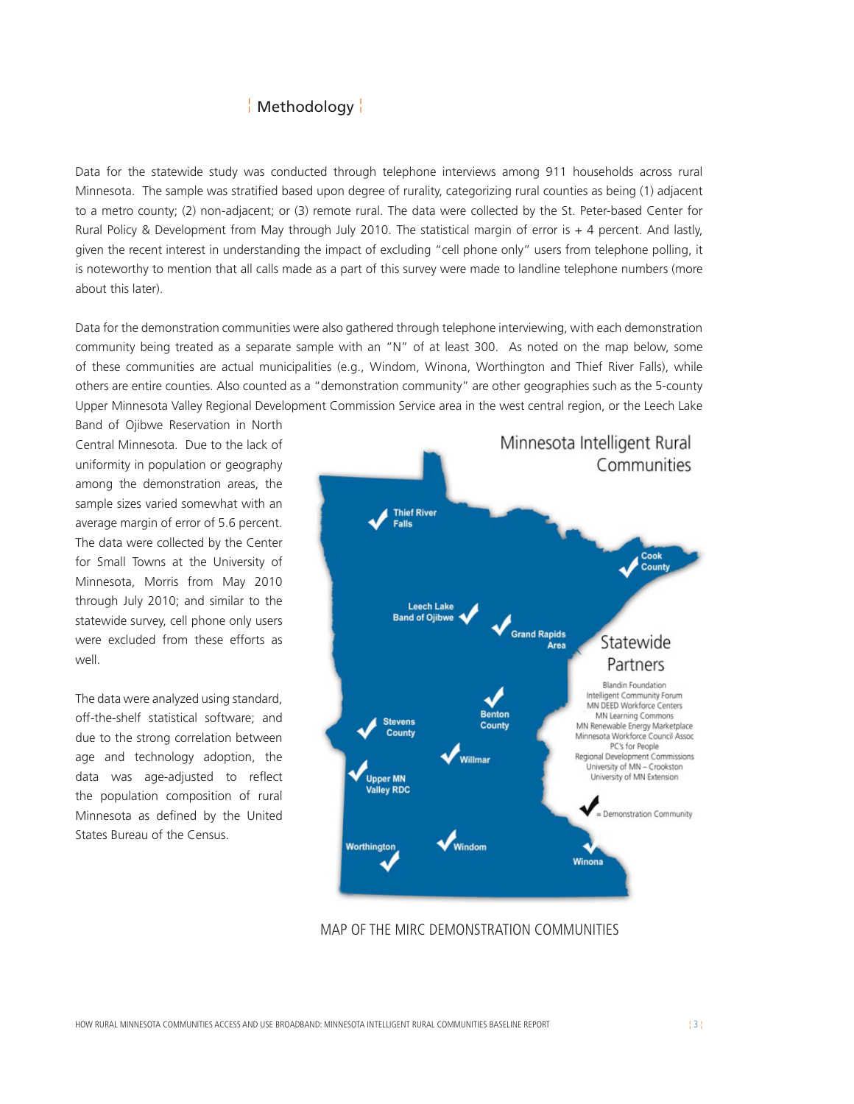### ¦ Methodology ¦

<span id="page-3-0"></span>Data for the statewide study was conducted through telephone interviews among 911 households across rural Minnesota. The sample was stratified based upon degree of rurality, categorizing rural counties as being (1) adjacent to a metro county; (2) non-adjacent; or (3) remote rural. The data were collected by the St. Peter-based Center for Rural Policy & Development from May through July 2010. The statistical margin of error is + 4 percent. And lastly, given the recent interest in understanding the impact of excluding "cell phone only" users from telephone polling, it is noteworthy to mention that all calls made as a part of this survey were made to landline telephone numbers (more about this later).

Data for the demonstration communities were also gathered through telephone interviewing, with each demonstration community being treated as a separate sample with an "N" of at least 300. As noted on the map below, some of these communities are actual municipalities (e.g., Windom, Winona, Worthington and Thief River Falls), while others are entire counties. Also counted as a "demonstration community" are other geographies such as the 5-county Upper Minnesota Valley Regional Development Commission Service area in the west central region, or the Leech Lake

Band of Ojibwe Reservation in North Central Minnesota. Due to the lack of uniformity in population or geography among the demonstration areas, the sample sizes varied somewhat with an average margin of error of 5.6 percent. The data were collected by the Center for Small Towns at the University of Minnesota, Morris from May 2010 through July 2010; and similar to the statewide survey, cell phone only users were excluded from these efforts as well.

The data were analyzed using standard, off-the-shelf statistical software; and due to the strong correlation between age and technology adoption, the data was age-adjusted to reflect the population composition of rural Minnesota as defined by the United States Bureau of the Census.



MAP OF THE MIRC DEMONSTRATION COMMUNITIES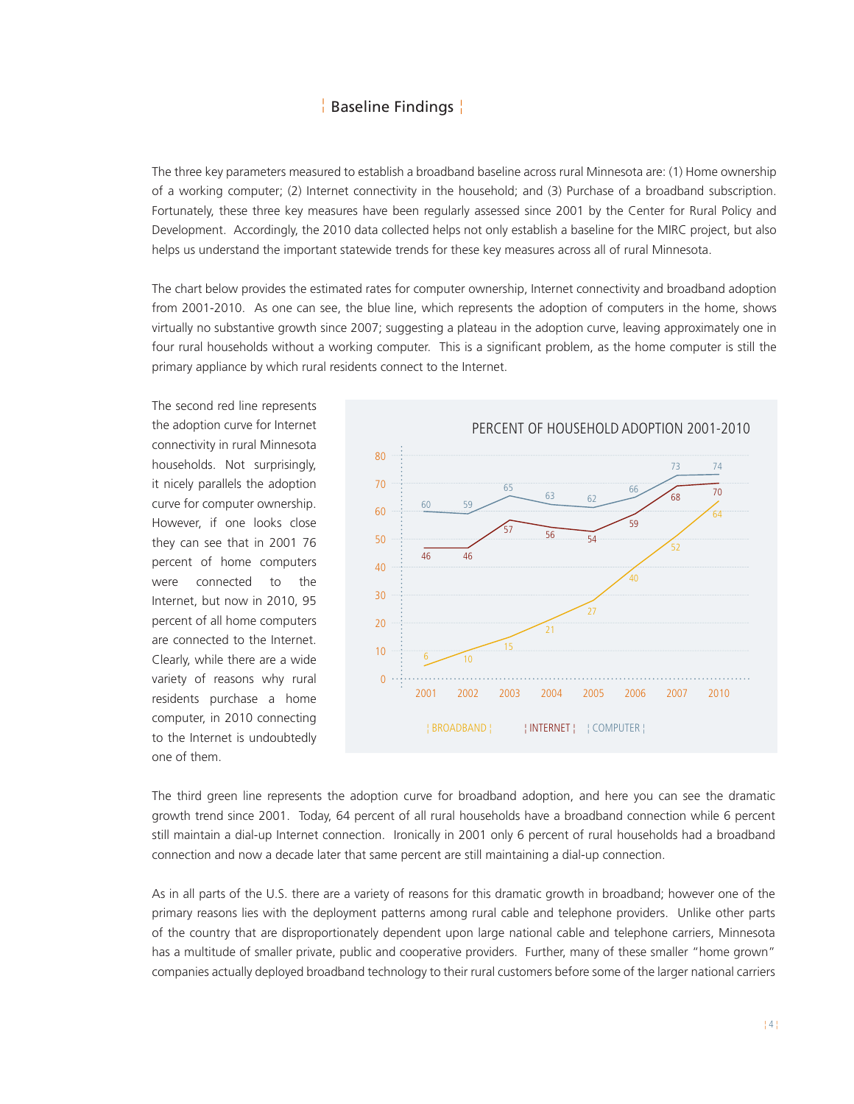# Baseline Findings ¦ ¦

<span id="page-4-0"></span>The three key parameters measured to establish a broadband baseline across rural Minnesota are: (1) Home ownership of a working computer; (2) Internet connectivity in the household; and (3) Purchase of a broadband subscription. Fortunately, these three key measures have been regularly assessed since 2001 by the Center for Rural Policy and Development. Accordingly, the 2010 data collected helps not only establish a baseline for the MIRC project, but also helps us understand the important statewide trends for these key measures across all of rural Minnesota.

The chart below provides the estimated rates for computer ownership, Internet connectivity and broadband adoption from 2001-2010. As one can see, the blue line, which represents the adoption of computers in the home, shows virtually no substantive growth since 2007; suggesting a plateau in the adoption curve, leaving approximately one in four rural households without a working computer. This is a significant problem, as the home computer is still the primary appliance by which rural residents connect to the Internet.

The second red line represents the adoption curve for Internet connectivity in rural Minnesota households. Not surprisingly, it nicely parallels the adoption curve for computer ownership. However, if one looks close they can see that in 2001 76 percent of home computers were connected to the Internet, but now in 2010, 95 percent of all home computers are connected to the Internet. Clearly, while there are a wide variety of reasons why rural residents purchase a home computer, in 2010 connecting to the Internet is undoubtedly one of them.



The third green line represents the adoption curve for broadband adoption, and here you can see the dramatic growth trend since 2001. Today, 64 percent of all rural households have a broadband connection while 6 percent still maintain a dial-up Internet connection. Ironically in 2001 only 6 percent of rural households had a broadband connection and now a decade later that same percent are still maintaining a dial-up connection.

As in all parts of the U.S. there are a variety of reasons for this dramatic growth in broadband; however one of the primary reasons lies with the deployment patterns among rural cable and telephone providers. Unlike other parts of the country that are disproportionately dependent upon large national cable and telephone carriers, Minnesota has a multitude of smaller private, public and cooperative providers. Further, many of these smaller "home grown" companies actually deployed broadband technology to their rural customers before some of the larger national carriers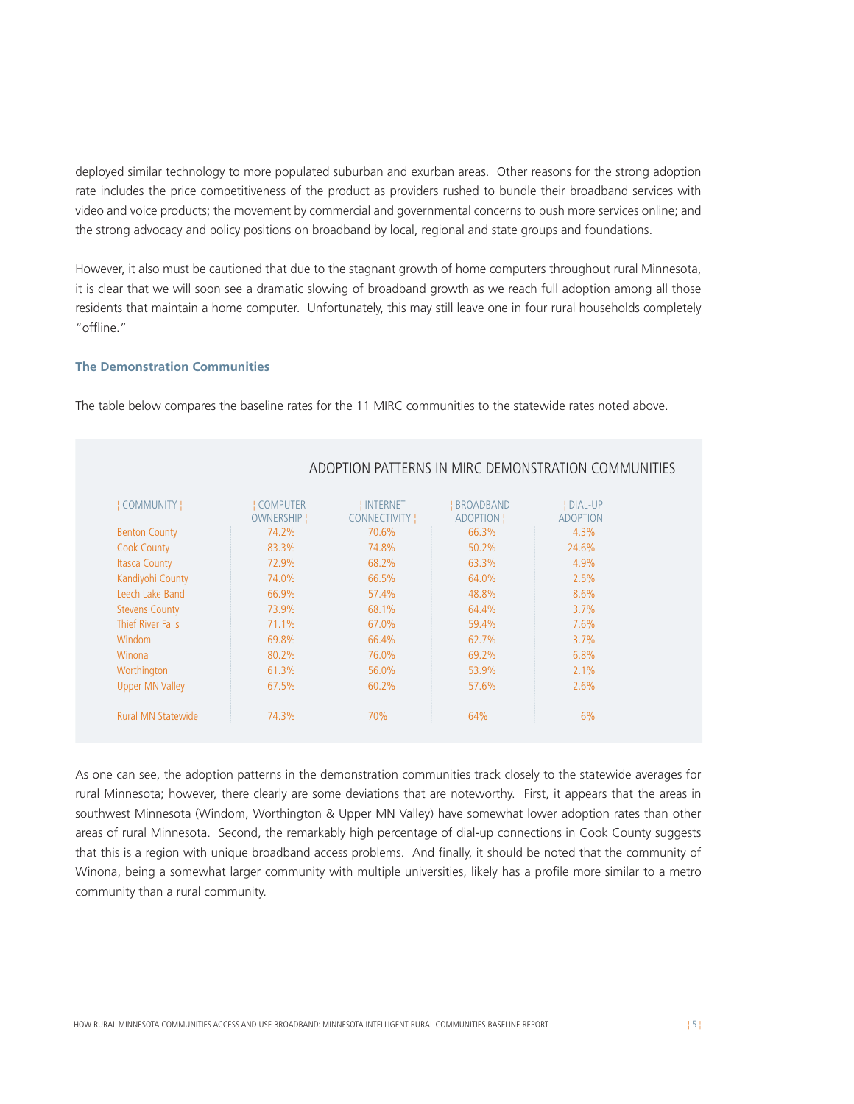deployed similar technology to more populated suburban and exurban areas. Other reasons for the strong adoption rate includes the price competitiveness of the product as providers rushed to bundle their broadband services with video and voice products; the movement by commercial and governmental concerns to push more services online; and the strong advocacy and policy positions on broadband by local, regional and state groups and foundations.

However, it also must be cautioned that due to the stagnant growth of home computers throughout rural Minnesota, it is clear that we will soon see a dramatic slowing of broadband growth as we reach full adoption among all those residents that maintain a home computer. Unfortunately, this may still leave one in four rural households completely "offline."

#### **The Demonstration Communities**

The table below compares the baseline rates for the 11 MIRC communities to the statewide rates noted above.

| <b>COMMUNITY</b> !        | <b>COMPUTER</b> | <mark>!</mark> INTERNET | <b>BROADBAND</b> | ! DIAL-UP |
|---------------------------|-----------------|-------------------------|------------------|-----------|
|                           | OWNERSHIP!      | CONNECTIVITY !          | ADOPTION !       | ADOPTION  |
| <b>Benton County</b>      | 74.2%           | 70.6%                   | 66.3%            | 4.3%      |
| <b>Cook County</b>        | 83.3%           | 74.8%                   | 50.2%            | 24.6%     |
| <b>Itasca County</b>      | 72.9%           | 68.2%                   | 63.3%            | 4.9%      |
| Kandiyohi County          | 74.0%           | 66.5%                   | 64.0%            | 2.5%      |
| Leech Lake Band           | 66.9%           | 57.4%                   | 48.8%            | 8.6%      |
| <b>Stevens County</b>     | 73.9%           | 68.1%                   | 64.4%            | 3.7%      |
| Thief River Falls         | 71.1%           | 67.0%                   | 59.4%            | 7.6%      |
| <b>Windom</b>             | 69.8%           | 66.4%                   | 62.7%            | 3.7%      |
| Winona                    | 80.2%           | 76.0%                   | 69.2%            | 6.8%      |
| Worthington               | 61.3%           | 56.0%                   | 53.9%            | 2.1%      |
| <b>Upper MN Valley</b>    | 67.5%           | 60.2%                   | 57.6%            | 2.6%      |
|                           |                 |                         |                  |           |
| <b>Rural MN Statewide</b> | 74.3%           | 70%                     | 64%              | 6%        |

#### ADOPTION PATTERNS IN MIRC DEMONSTRATION COMMUNITIES

As one can see, the adoption patterns in the demonstration communities track closely to the statewide averages for rural Minnesota; however, there clearly are some deviations that are noteworthy. First, it appears that the areas in southwest Minnesota (Windom, Worthington & Upper MN Valley) have somewhat lower adoption rates than other areas of rural Minnesota. Second, the remarkably high percentage of dial-up connections in Cook County suggests that this is a region with unique broadband access problems. And finally, it should be noted that the community of Winona, being a somewhat larger community with multiple universities, likely has a profile more similar to a metro community than a rural community.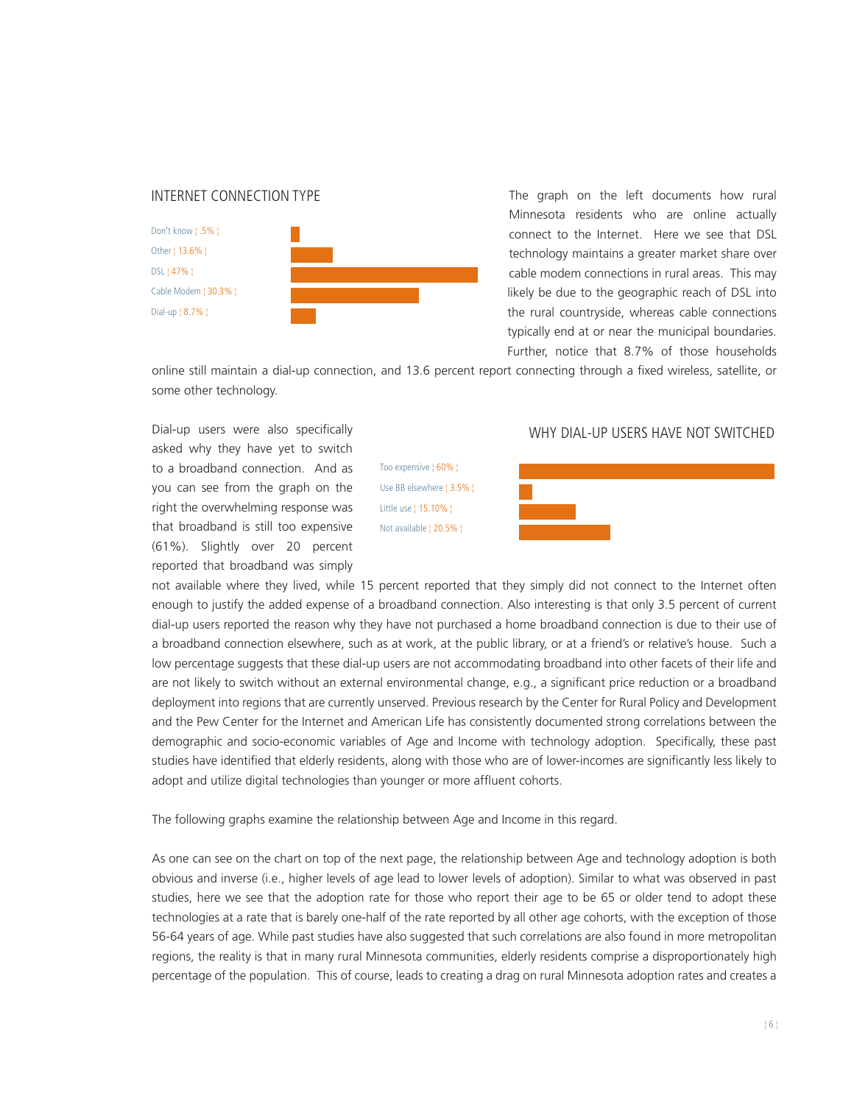#### <span id="page-6-0"></span>INTERNET CONNECTION TYPE



The graph on the left documents how rural Minnesota residents who are online actually connect to the Internet. Here we see that DSL technology maintains a greater market share over cable modem connections in rural areas. This may likely be due to the geographic reach of DSL into the rural countryside, whereas cable connections typically end at or near the municipal boundaries. Further, notice that 8.7% of those households

online still maintain a dial-up connection, and 13.6 percent report connecting through a fixed wireless, satellite, or some other technology.

Dial-up users were also specifically asked why they have yet to switch to a broadband connection. And as you can see from the graph on the right the overwhelming response was that broadband is still too expensive (61%). Slightly over 20 percent reported that broadband was simply

Too expensive ¦ 60% ¦ Use BB elsewhere ¦ 3.5% ¦ Little use ¦ 15.10% ¦ Not available ¦ 20.5% ¦

#### WHY DIAL-UP USERS HAVE NOT SWITCHED



not available where they lived, while 15 percent reported that they simply did not connect to the Internet often enough to justify the added expense of a broadband connection. Also interesting is that only 3.5 percent of current dial-up users reported the reason why they have not purchased a home broadband connection is due to their use of a broadband connection elsewhere, such as at work, at the public library, or at a friend's or relative's house. Such a low percentage suggests that these dial-up users are not accommodating broadband into other facets of their life and are not likely to switch without an external environmental change, e.g., a significant price reduction or a broadband deployment into regions that are currently unserved. Previous research by the Center for Rural Policy and Development and the Pew Center for the Internet and American Life has consistently documented strong correlations between the demographic and socio-economic variables of Age and Income with technology adoption. Specifically, these past studies have identified that elderly residents, along with those who are of lower-incomes are significantly less likely to adopt and utilize digital technologies than younger or more affluent cohorts.

The following graphs examine the relationship between Age and Income in this regard.

As one can see on the chart on top of the next page, the relationship between Age and technology adoption is both obvious and inverse (i.e., higher levels of age lead to lower levels of adoption). Similar to what was observed in past studies, here we see that the adoption rate for those who report their age to be 65 or older tend to adopt these technologies at a rate that is barely one-half of the rate reported by all other age cohorts, with the exception of those 56-64 years of age. While past studies have also suggested that such correlations are also found in more metropolitan regions, the reality is that in many rural Minnesota communities, elderly residents comprise a disproportionately high percentage of the population. This of course, leads to creating a drag on rural Minnesota adoption rates and creates a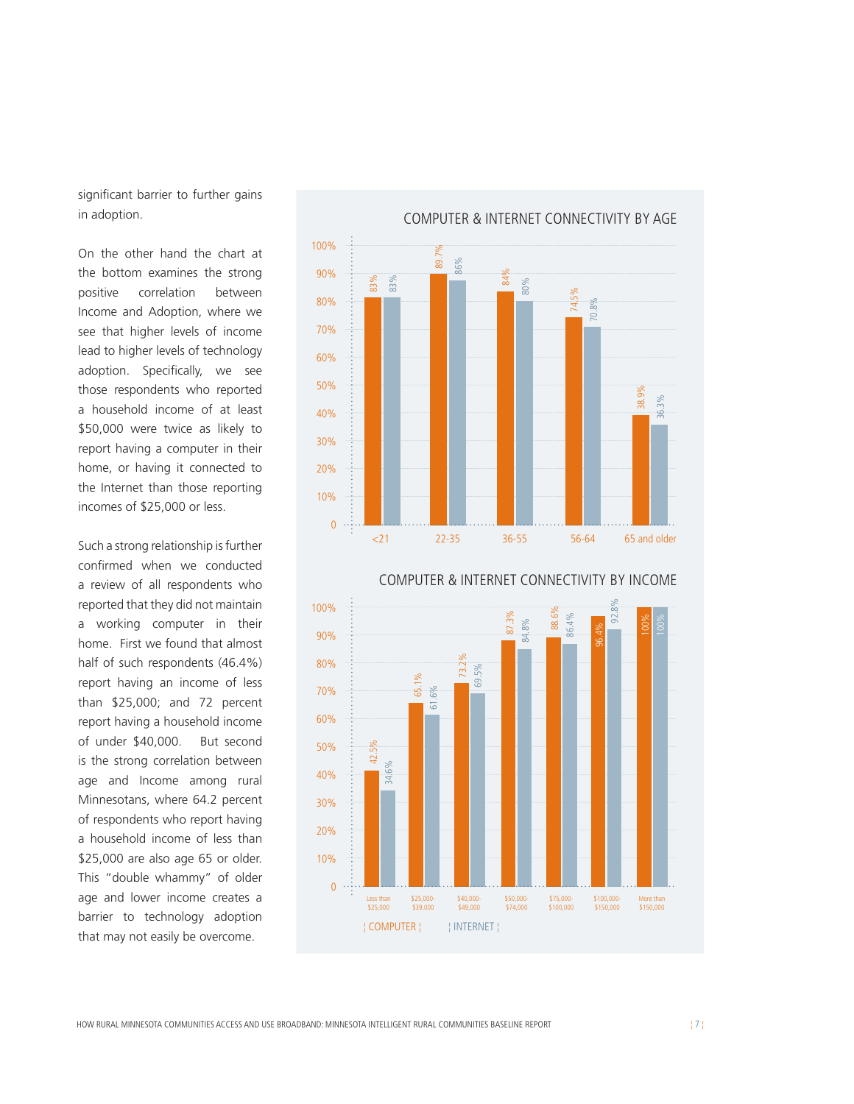significant barrier to further gains in adoption.

On the other hand the chart at the bottom examines the strong positive correlation between Income and Adoption, where we see that higher levels of income lead to higher levels of technology adoption. Specifically, we see those respondents who reported a household income of at least \$50,000 were twice as likely to report having a computer in their home, or having it connected to the Internet than those reporting incomes of \$25,000 or less.

Such a strong relationship is further confirmed when we conducted a review of all respondents who reported that they did not maintain a working computer in their home. First we found that almost half of such respondents (46.4%) report having an income of less than \$25,000; and 72 percent report having a household income of under \$40,000. But second is the strong correlation between age and Income among rural Minnesotans, where 64.2 percent of respondents who report having a household income of less than \$25,000 are also age 65 or older. This "double whammy" of older age and lower income creates a barrier to technology adoption that may not easily be overcome.





HOW RURAL MINNESOTA COMMUNITIES ACCESS AND USE BROADBAND: MINNESOTA INTELLIGENT RURAL COMMUNITIES BASELINE REPORT ¦ 7 ¦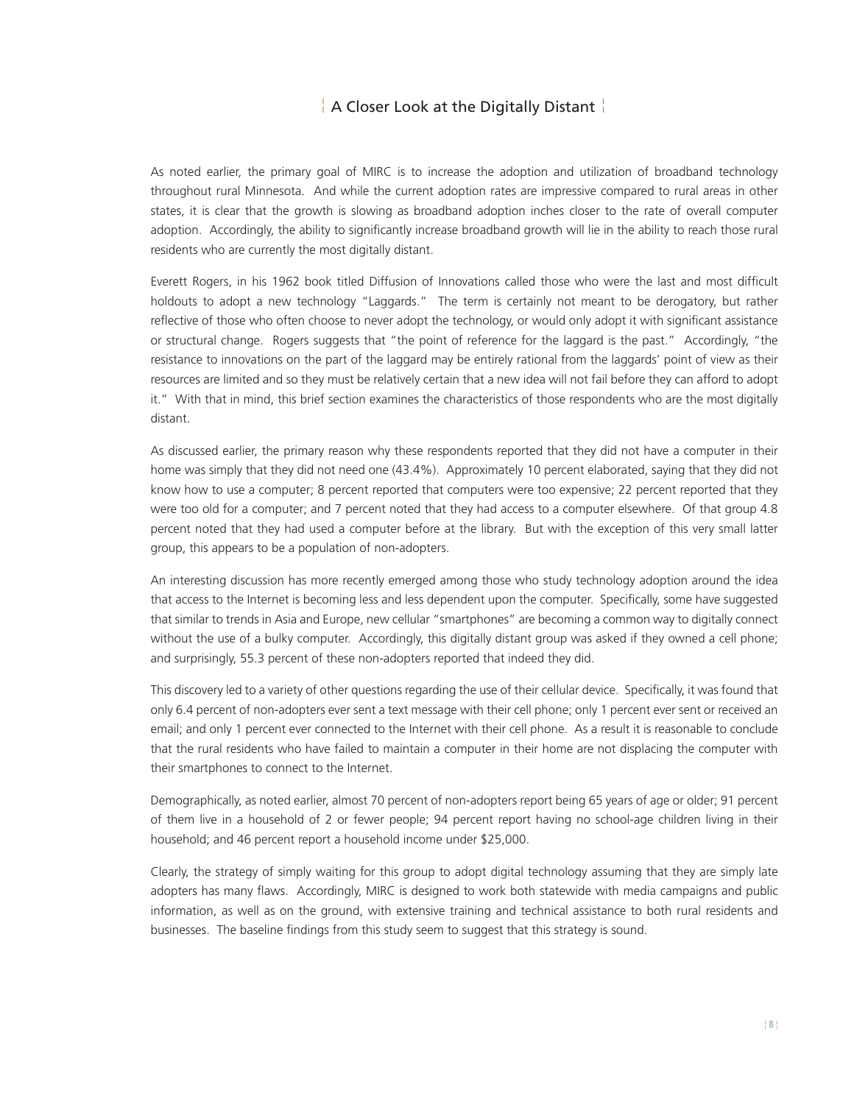### ¦ A Closer Look at the Digitally Distant ¦

As noted earlier, the primary goal of MIRC is to increase the adoption and utilization of broadband technology throughout rural Minnesota. And while the current adoption rates are impressive compared to rural areas in other states, it is clear that the growth is slowing as broadband adoption inches closer to the rate of overall computer adoption. Accordingly, the ability to significantly increase broadband growth will lie in the ability to reach those rural residents who are currently the most digitally distant.

Everett Rogers, in his 1962 book titled Diffusion of Innovations called those who were the last and most difficult holdouts to adopt a new technology "Laggards." The term is certainly not meant to be derogatory, but rather reflective of those who often choose to never adopt the technology, or would only adopt it with significant assistance or structural change. Rogers suggests that "the point of reference for the laggard is the past." Accordingly, "the resistance to innovations on the part of the laggard may be entirely rational from the laggards' point of view as their resources are limited and so they must be relatively certain that a new idea will not fail before they can afford to adopt it." With that in mind, this brief section examines the characteristics of those respondents who are the most digitally distant.

As discussed earlier, the primary reason why these respondents reported that they did not have a computer in their home was simply that they did not need one (43.4%). Approximately 10 percent elaborated, saying that they did not know how to use a computer; 8 percent reported that computers were too expensive; 22 percent reported that they were too old for a computer; and 7 percent noted that they had access to a computer elsewhere. Of that group 4.8 percent noted that they had used a computer before at the library. But with the exception of this very small latter group, this appears to be a population of non-adopters.

An interesting discussion has more recently emerged among those who study technology adoption around the idea that access to the Internet is becoming less and less dependent upon the computer. Specifically, some have suggested that similar to trends in Asia and Europe, new cellular "smartphones" are becoming a common way to digitally connect without the use of a bulky computer. Accordingly, this digitally distant group was asked if they owned a cell phone; and surprisingly, 55.3 percent of these non-adopters reported that indeed they did.

This discovery led to a variety of other questions regarding the use of their cellular device. Specifically, it was found that only 6.4 percent of non-adopters ever sent a text message with their cell phone; only 1 percent ever sent or received an email; and only 1 percent ever connected to the Internet with their cell phone. As a result it is reasonable to conclude that the rural residents who have failed to maintain a computer in their home are not displacing the computer with their smartphones to connect to the Internet.

Demographically, as noted earlier, almost 70 percent of non-adopters report being 65 years of age or older; 91 percent of them live in a household of 2 or fewer people; 94 percent report having no school-age children living in their household; and 46 percent report a household income under \$25,000.

Clearly, the strategy of simply waiting for this group to adopt digital technology assuming that they are simply late adopters has many flaws. Accordingly, MIRC is designed to work both statewide with media campaigns and public information, as well as on the ground, with extensive training and technical assistance to both rural residents and businesses. The baseline findings from this study seem to suggest that this strategy is sound.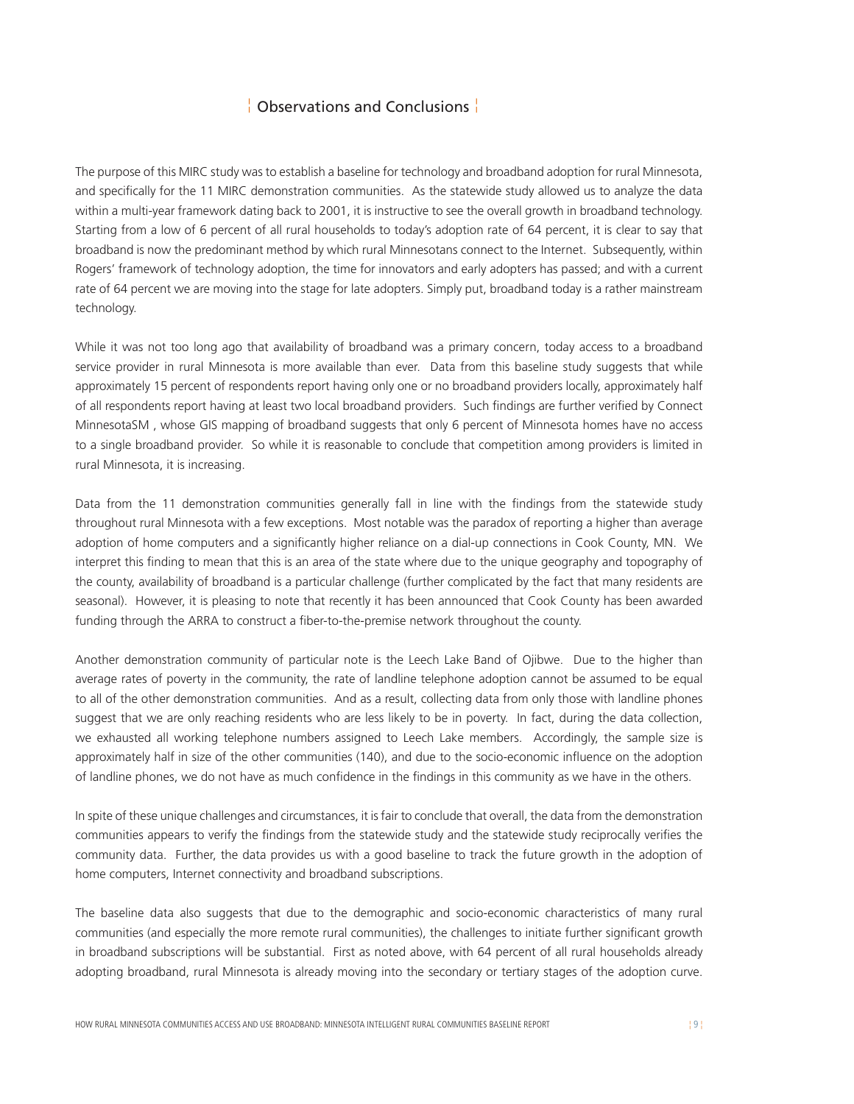### ¦ Observations and Conclusions ¦

<span id="page-9-0"></span>The purpose of this MIRC study was to establish a baseline for technology and broadband adoption for rural Minnesota, and specifically for the 11 MIRC demonstration communities. As the statewide study allowed us to analyze the data within a multi-year framework dating back to 2001, it is instructive to see the overall growth in broadband technology. Starting from a low of 6 percent of all rural households to today's adoption rate of 64 percent, it is clear to say that broadband is now the predominant method by which rural Minnesotans connect to the Internet. Subsequently, within Rogers' framework of technology adoption, the time for innovators and early adopters has passed; and with a current rate of 64 percent we are moving into the stage for late adopters. Simply put, broadband today is a rather mainstream technology.

While it was not too long ago that availability of broadband was a primary concern, today access to a broadband service provider in rural Minnesota is more available than ever. Data from this baseline study suggests that while approximately 15 percent of respondents report having only one or no broadband providers locally, approximately half of all respondents report having at least two local broadband providers. Such findings are further verified by Connect MinnesotaSM , whose GIS mapping of broadband suggests that only 6 percent of Minnesota homes have no access to a single broadband provider. So while it is reasonable to conclude that competition among providers is limited in rural Minnesota, it is increasing.

Data from the 11 demonstration communities generally fall in line with the findings from the statewide study throughout rural Minnesota with a few exceptions. Most notable was the paradox of reporting a higher than average adoption of home computers and a significantly higher reliance on a dial-up connections in Cook County, MN. We interpret this finding to mean that this is an area of the state where due to the unique geography and topography of the county, availability of broadband is a particular challenge (further complicated by the fact that many residents are seasonal). However, it is pleasing to note that recently it has been announced that Cook County has been awarded funding through the ARRA to construct a fiber-to-the-premise network throughout the county.

Another demonstration community of particular note is the Leech Lake Band of Ojibwe. Due to the higher than average rates of poverty in the community, the rate of landline telephone adoption cannot be assumed to be equal to all of the other demonstration communities. And as a result, collecting data from only those with landline phones suggest that we are only reaching residents who are less likely to be in poverty. In fact, during the data collection, we exhausted all working telephone numbers assigned to Leech Lake members. Accordingly, the sample size is approximately half in size of the other communities (140), and due to the socio-economic influence on the adoption of landline phones, we do not have as much confidence in the findings in this community as we have in the others.

In spite of these unique challenges and circumstances, it is fair to conclude that overall, the data from the demonstration communities appears to verify the findings from the statewide study and the statewide study reciprocally verifies the community data. Further, the data provides us with a good baseline to track the future growth in the adoption of home computers, Internet connectivity and broadband subscriptions.

The baseline data also suggests that due to the demographic and socio-economic characteristics of many rural communities (and especially the more remote rural communities), the challenges to initiate further significant growth in broadband subscriptions will be substantial. First as noted above, with 64 percent of all rural households already adopting broadband, rural Minnesota is already moving into the secondary or tertiary stages of the adoption curve.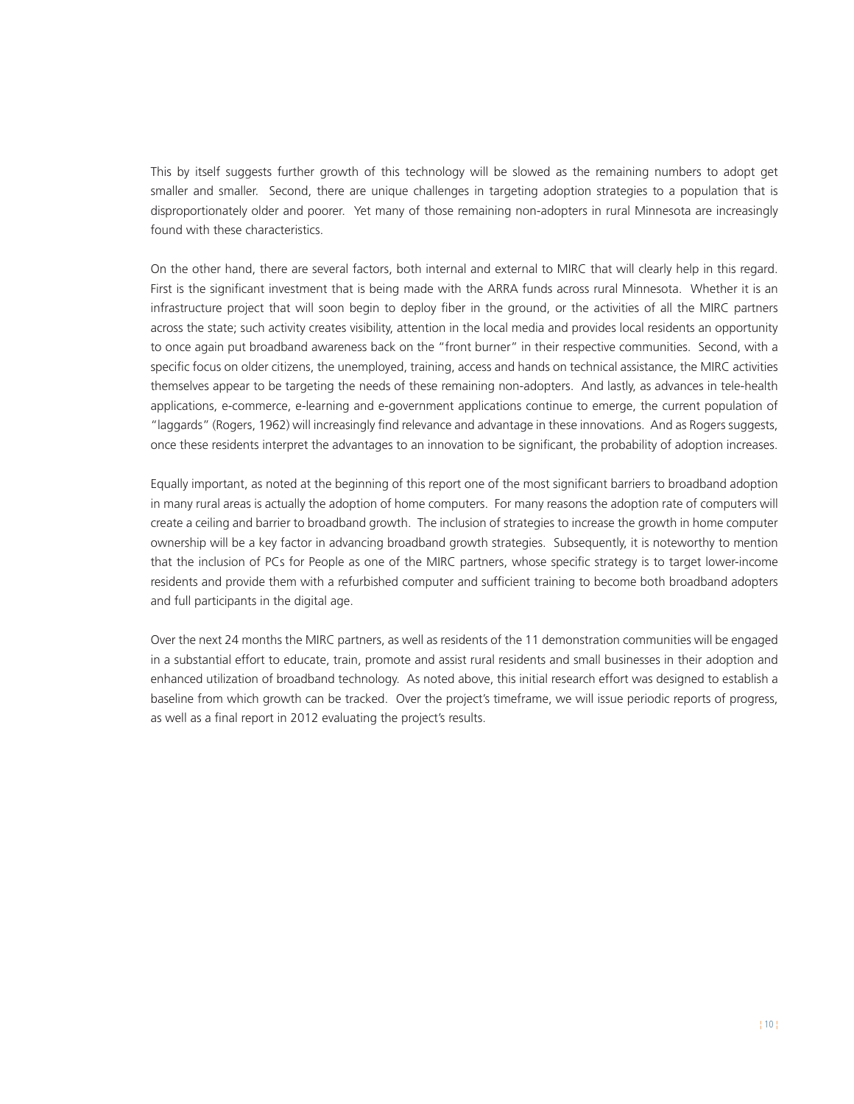This by itself suggests further growth of this technology will be slowed as the remaining numbers to adopt get smaller and smaller. Second, there are unique challenges in targeting adoption strategies to a population that is disproportionately older and poorer. Yet many of those remaining non-adopters in rural Minnesota are increasingly found with these characteristics.

On the other hand, there are several factors, both internal and external to MIRC that will clearly help in this regard. First is the significant investment that is being made with the ARRA funds across rural Minnesota. Whether it is an infrastructure project that will soon begin to deploy fiber in the ground, or the activities of all the MIRC partners across the state; such activity creates visibility, attention in the local media and provides local residents an opportunity to once again put broadband awareness back on the "front burner" in their respective communities. Second, with a specific focus on older citizens, the unemployed, training, access and hands on technical assistance, the MIRC activities themselves appear to be targeting the needs of these remaining non-adopters. And lastly, as advances in tele-health applications, e-commerce, e-learning and e-government applications continue to emerge, the current population of "laggards" (Rogers, 1962) will increasingly find relevance and advantage in these innovations. And as Rogers suggests, once these residents interpret the advantages to an innovation to be significant, the probability of adoption increases.

Equally important, as noted at the beginning of this report one of the most significant barriers to broadband adoption in many rural areas is actually the adoption of home computers. For many reasons the adoption rate of computers will create a ceiling and barrier to broadband growth. The inclusion of strategies to increase the growth in home computer ownership will be a key factor in advancing broadband growth strategies. Subsequently, it is noteworthy to mention that the inclusion of PCs for People as one of the MIRC partners, whose specific strategy is to target lower-income residents and provide them with a refurbished computer and sufficient training to become both broadband adopters and full participants in the digital age.

Over the next 24 months the MIRC partners, as well as residents of the 11 demonstration communities will be engaged in a substantial effort to educate, train, promote and assist rural residents and small businesses in their adoption and enhanced utilization of broadband technology. As noted above, this initial research effort was designed to establish a baseline from which growth can be tracked. Over the project's timeframe, we will issue periodic reports of progress, as well as a final report in 2012 evaluating the project's results.